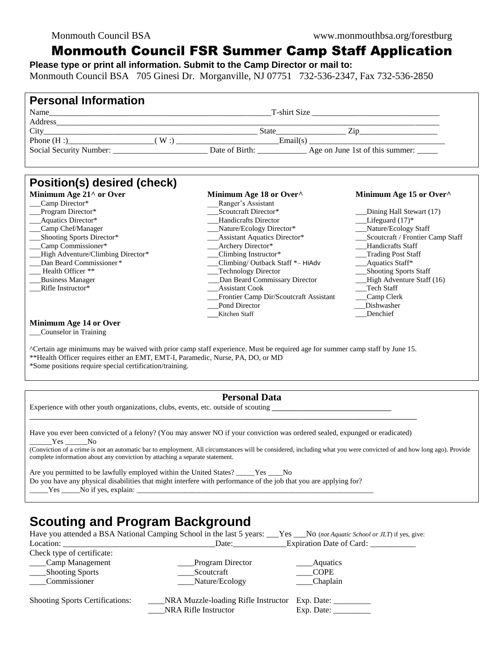## Monmouth Council FSR Summer Camp Staff Application

**Please type or print all information. Submit to the Camp Director or mail to:** Monmouth Council BSA 705 Ginesi Dr. Morganville, NJ 07751 732-536-2347, Fax 732-536-2850

| <b>Personal Information</b>                                                                                                                                                                                                                                                |                                                                    |                            |  |  |
|----------------------------------------------------------------------------------------------------------------------------------------------------------------------------------------------------------------------------------------------------------------------------|--------------------------------------------------------------------|----------------------------|--|--|
|                                                                                                                                                                                                                                                                            |                                                                    |                            |  |  |
|                                                                                                                                                                                                                                                                            |                                                                    |                            |  |  |
|                                                                                                                                                                                                                                                                            |                                                                    |                            |  |  |
|                                                                                                                                                                                                                                                                            |                                                                    |                            |  |  |
|                                                                                                                                                                                                                                                                            |                                                                    |                            |  |  |
| Position(s) desired (check)                                                                                                                                                                                                                                                |                                                                    |                            |  |  |
| Minimum Age 21^ or Over                                                                                                                                                                                                                                                    | Minimum Age 18 or Over^                                            | Minimum Age 15 or Over^    |  |  |
| Camp Director*                                                                                                                                                                                                                                                             | Ranger's Assistant                                                 |                            |  |  |
| Program Director*                                                                                                                                                                                                                                                          | Scoutcraft Director*                                               | __Dining Hall Stewart (17) |  |  |
| Aquatics Director*                                                                                                                                                                                                                                                         | <b>Handicrafts Director</b>                                        | $Lifeguard (17)$ *         |  |  |
| Camp Chef/Manager                                                                                                                                                                                                                                                          | Nature/Ecology Staff<br>__Nature/Ecology Director*                 |                            |  |  |
| Shooting Sports Director*                                                                                                                                                                                                                                                  | __Assistant Aquatics Director*<br>Scoutcraft / Frontier Camp Staff |                            |  |  |
| _Camp Commissioner*                                                                                                                                                                                                                                                        | __Archery Director*<br><b>Handicrafts Staff</b>                    |                            |  |  |
| High Adventure/Climbing Director*                                                                                                                                                                                                                                          | __Climbing Instructor*                                             | Trading Post Staff         |  |  |
| Dan Beard Commissioner*                                                                                                                                                                                                                                                    | Climbing/Outback Staff *- HiAdv                                    | _Aquatics Staff*           |  |  |
| Health Officer **                                                                                                                                                                                                                                                          | __Technology Director                                              | Shooting Sports Staff      |  |  |
| <b>Business Manager</b>                                                                                                                                                                                                                                                    | Dan Beard Commissary Director                                      | High Adventure Staff (16)  |  |  |
| Rifle Instructor*                                                                                                                                                                                                                                                          | <b>Assistant Cook</b>                                              | Tech Staff                 |  |  |
|                                                                                                                                                                                                                                                                            | Frontier Camp Dir/Scoutcraft Assistant                             | Camp Clerk                 |  |  |
|                                                                                                                                                                                                                                                                            | _Pond Director                                                     | Dishwasher                 |  |  |
|                                                                                                                                                                                                                                                                            | Kitchen Staff                                                      | Denchief                   |  |  |
| Minimum Age 14 or Over<br>Counselor in Training                                                                                                                                                                                                                            |                                                                    |                            |  |  |
| ^Certain age minimums may be waived with prior camp staff experience. Must be required age for summer camp staff by June 15.<br>**Health Officer requires either an EMT, EMT-I, Paramedic, Nurse, PA, DO, or MD<br>*Some positions require special certification/training. |                                                                    |                            |  |  |
| <b>Personal Data</b>                                                                                                                                                                                                                                                       |                                                                    |                            |  |  |

| Have you ever been convicted of a felony? (You may answer NO if your conviction was ordered sealed, expunged or eradicated) |
|-----------------------------------------------------------------------------------------------------------------------------|
| No No                                                                                                                       |

(Conviction of a crime is not an automatic bar to employment. All circumstances will be considered, including what you were convicted of and how long ago). Provide complete information about any conviction by attaching a separate statement.

Are you permitted to be lawfully employed within the United States? \_\_\_\_\_Yes \_\_\_\_No Do you have any physical disabilities that might interfere with performance of the job that you are applying for?  $Yes$  No if yes, explain:

# **Scouting and Program Background**

Experience with other youth organizations, clubs, events, etc. outside of scouting \_

|                                        | Have you attended a BSA National Camping School in the last 5 years: No (not Aquatic School or JLT) if yes, give: |                                       |
|----------------------------------------|-------------------------------------------------------------------------------------------------------------------|---------------------------------------|
|                                        | Date: $\frac{1}{2}$                                                                                               | Expiration Date of Card: ___________  |
| Check type of certificate:             |                                                                                                                   |                                       |
| Camp Management                        | Program Director                                                                                                  | Aquatics                              |
| ____Shooting Sports                    | Scoutcraft                                                                                                        | <b>COPE</b>                           |
| Commissioner                           | Nature/Ecology                                                                                                    | Chaplain                              |
| <b>Shooting Sports Certifications:</b> | NRA Muzzle-loading Rifle Instructor                                                                               | Exp. Date:                            |
|                                        | NRA Rifle Instructor                                                                                              | $Exp.$ Date: $\overline{\phantom{a}}$ |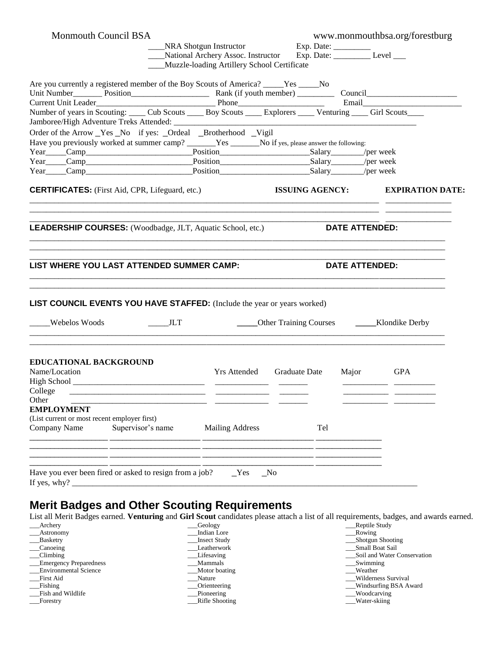| Monmouth Council BSA                                                                                                                                             | NRA Shotgun Instructor<br>_NRA Shotgun Instructor Exp. Date: ____________<br>_National Archery Assoc. Instructor Exp. Date: ____________ Level ____<br>Muzzle-loading Artillery School Certificate |                                  |     | www.monmouthbsa.org/forestburg                 |  |
|------------------------------------------------------------------------------------------------------------------------------------------------------------------|----------------------------------------------------------------------------------------------------------------------------------------------------------------------------------------------------|----------------------------------|-----|------------------------------------------------|--|
| Are you currently a registered member of the Boy Scouts of America? _____Yes ____No<br>Current Unit Leader<br><u>Email</u> Phone<br>Email Box 2014               |                                                                                                                                                                                                    |                                  |     |                                                |  |
| Number of years in Scouting: _____ Cub Scouts _____ Boy Scouts _____ Explorers _____ Venturing _____ Girl Scouts                                                 |                                                                                                                                                                                                    |                                  |     |                                                |  |
| Order of the Arrow Yes No if yes: Ordeal Brotherhood Vigil<br>Have you previously worked at summer camp? ______Yes ______No if yes, please answer the following: |                                                                                                                                                                                                    |                                  |     |                                                |  |
| <b>CERTIFICATES:</b> (First Aid, CPR, Lifeguard, etc.)                                                                                                           |                                                                                                                                                                                                    |                                  |     | ISSUING AGENCY: EXPIRATION DATE:               |  |
| <b>LEADERSHIP COURSES:</b> (Woodbadge, JLT, Aquatic School, etc.)<br>LIST WHERE YOU LAST ATTENDED SUMMER CAMP:                                                   |                                                                                                                                                                                                    |                                  |     | <b>DATE ATTENDED:</b><br><b>DATE ATTENDED:</b> |  |
| <b>LIST COUNCIL EVENTS YOU HAVE STAFFED:</b> (Include the year or years worked)<br>Webelos Woods<br>$\frac{1}{\sqrt{1-\frac{1}{2}}}$ JLT                         |                                                                                                                                                                                                    |                                  |     |                                                |  |
| EDUCATIONAL BACKGROUND<br>Name/Location<br>College                                                                                                               |                                                                                                                                                                                                    | Yrs Attended Graduate Date Major |     | <b>GPA</b>                                     |  |
| Other<br><b>EMPLOYMENT</b><br>(List current or most recent employer first)<br>Supervisor's name<br>Company Name                                                  | <b>Mailing Address</b>                                                                                                                                                                             |                                  | Tel |                                                |  |
| Have you ever been fired or asked to resign from a job?<br>If yes, why?                                                                                          |                                                                                                                                                                                                    | Yes<br>N <sub>0</sub>            |     |                                                |  |

### **Merit Badges and Other Scouting Requirements**

List all Merit Badges earned. **Venturing** and **Girl Scout** candidates please attach a list of all requirements, badges, and awards earned.

| Archery                       | <b>Geology</b>      | Reptile Study               |
|-------------------------------|---------------------|-----------------------------|
| __Astronomy                   | Indian Lore         | Rowing                      |
| __ Basketry                   | <b>Insect Study</b> | ___Shotgun Shooting         |
| ___Canoeing                   | Leatherwork         | <b>Small Boat Sail</b>      |
| Climbing                      | Lifesaving          | Soil and Water Conservation |
| <b>Emergency Preparedness</b> | Mammals             | $S$ wimming                 |
| <b>Environmental Science</b>  | Motor boating       | Weather                     |
| First Aid                     | Nature              | Wilderness Survival         |
| Fishing                       | Orienteering        | Windsurfing BSA Award       |
| Fish and Wildlife             | Pioneering          | Woodcarving                 |
| Forestry                      | Rifle Shooting      | Water-skiing                |
|                               |                     |                             |